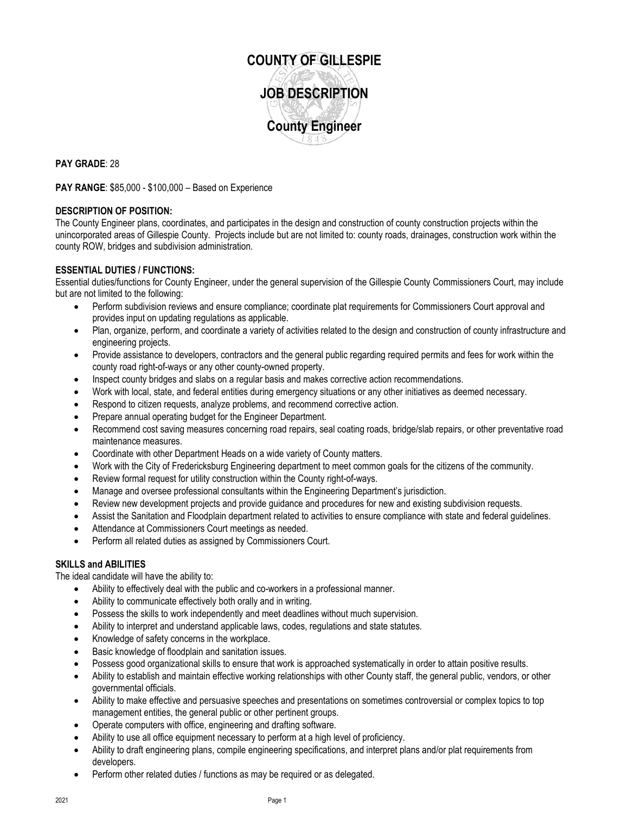

**PAY GRADE**: 28

**PAY RANGE**: \$85,000 - \$100,000 – Based on Experience

## **DESCRIPTION OF POSITION:**

The County Engineer plans, coordinates, and participates in the design and construction of county construction projects within the unincorporated areas of Gillespie County. Projects include but are not limited to: county roads, drainages, construction work within the county ROW, bridges and subdivision administration.

# **ESSENTIAL DUTIES / FUNCTIONS:**

Essential duties/functions for County Engineer, under the general supervision of the Gillespie County Commissioners Court, may include but are not limited to the following:

- Perform subdivision reviews and ensure compliance; coordinate plat requirements for Commissioners Court approval and provides input on updating regulations as applicable.
- Plan, organize, perform, and coordinate a variety of activities related to the design and construction of county infrastructure and engineering projects.
- Provide assistance to developers, contractors and the general public regarding required permits and fees for work within the county road right-of-ways or any other county-owned property.
- Inspect county bridges and slabs on a regular basis and makes corrective action recommendations.
- Work with local, state, and federal entities during emergency situations or any other initiatives as deemed necessary.
- Respond to citizen requests, analyze problems, and recommend corrective action.
- Prepare annual operating budget for the Engineer Department.
- Recommend cost saving measures concerning road repairs, seal coating roads, bridge/slab repairs, or other preventative road maintenance measures.
- Coordinate with other Department Heads on a wide variety of County matters.
- Work with the City of Fredericksburg Engineering department to meet common goals for the citizens of the community.
- Review formal request for utility construction within the County right-of-ways.
- Manage and oversee professional consultants within the Engineering Department's jurisdiction.
- Review new development projects and provide guidance and procedures for new and existing subdivision requests.
- Assist the Sanitation and Floodplain department related to activities to ensure compliance with state and federal guidelines.
- Attendance at Commissioners Court meetings as needed.
- Perform all related duties as assigned by Commissioners Court.

## **SKILLS and ABILITIES**

The ideal candidate will have the ability to:

- Ability to effectively deal with the public and co-workers in a professional manner.
- Ability to communicate effectively both orally and in writing.
- Possess the skills to work independently and meet deadlines without much supervision.
- Ability to interpret and understand applicable laws, codes, regulations and state statutes.
- Knowledge of safety concerns in the workplace.
- Basic knowledge of floodplain and sanitation issues.
- Possess good organizational skills to ensure that work is approached systematically in order to attain positive results.
- Ability to establish and maintain effective working relationships with other County staff, the general public, vendors, or other governmental officials.
- Ability to make effective and persuasive speeches and presentations on sometimes controversial or complex topics to top management entities, the general public or other pertinent groups.
- Operate computers with office, engineering and drafting software.
- Ability to use all office equipment necessary to perform at a high level of proficiency.
- Ability to draft engineering plans, compile engineering specifications, and interpret plans and/or plat requirements from developers.
- Perform other related duties / functions as may be required or as delegated.